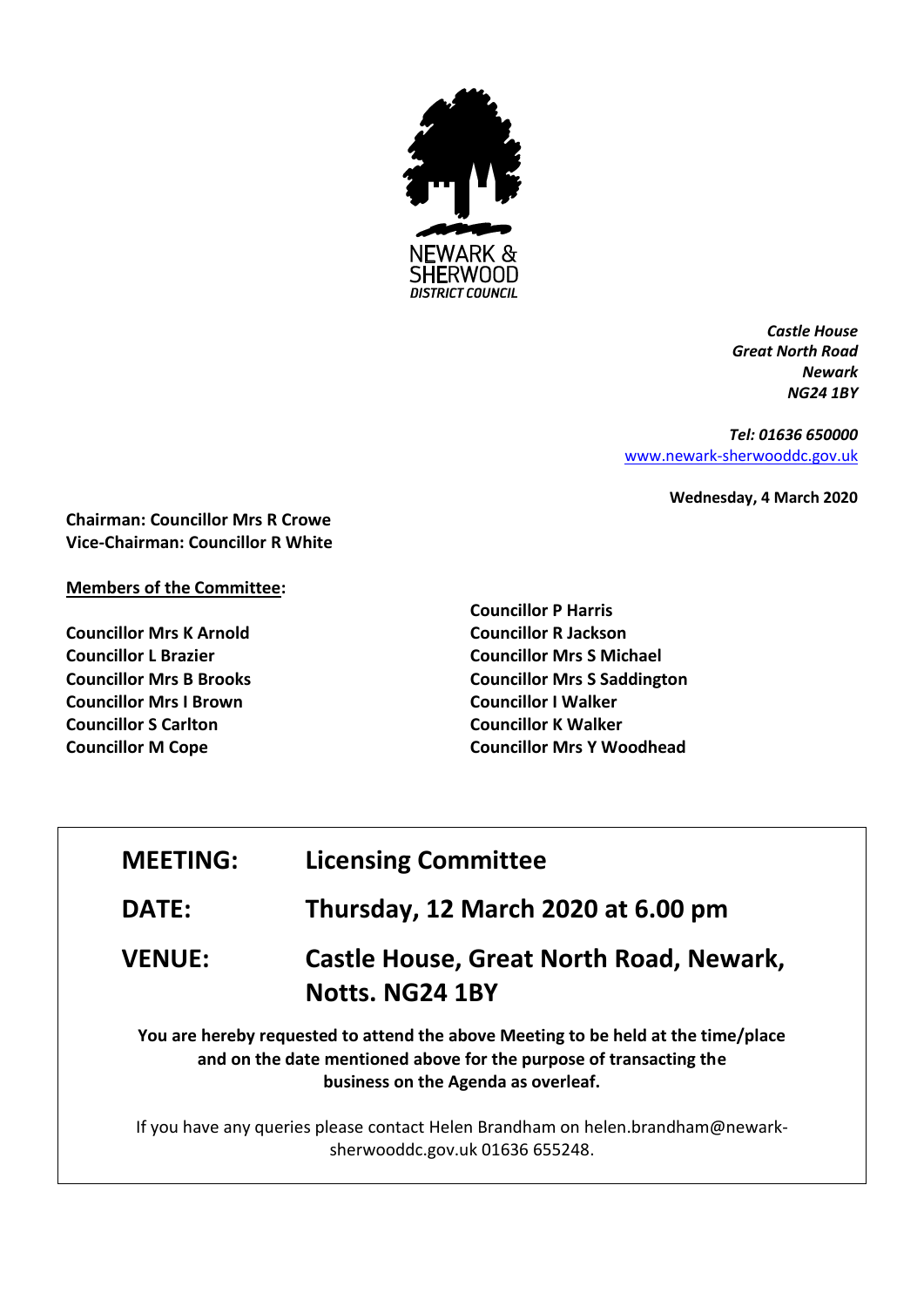

*Castle House Great North Road Newark NG24 1BY*

*Tel: 01636 650000* [www.newark-sherwooddc.gov.uk](http://www.newark-sherwooddc.gov.uk/)

**Wednesday, 4 March 2020**

**Chairman: Councillor Mrs R Crowe Vice-Chairman: Councillor R White**

## **Members of the Committee:**

**Councillor Mrs K Arnold Councillor L Brazier Councillor Mrs B Brooks Councillor Mrs I Brown Councillor S Carlton Councillor M Cope**

**Councillor P Harris Councillor R Jackson Councillor Mrs S Michael Councillor Mrs S Saddington Councillor I Walker Councillor K Walker Councillor Mrs Y Woodhead**

| <b>MEETING:</b> | <b>Licensing Committee</b>                                                                                                                                                                     |
|-----------------|------------------------------------------------------------------------------------------------------------------------------------------------------------------------------------------------|
| <b>DATE:</b>    | Thursday, 12 March 2020 at 6.00 pm                                                                                                                                                             |
| <b>VENUE:</b>   | Castle House, Great North Road, Newark,<br>Notts. NG24 1BY                                                                                                                                     |
|                 | You are hereby requested to attend the above Meeting to be held at the time/place<br>and on the date mentioned above for the purpose of transacting the<br>business on the Agenda as overleaf. |
|                 | If you have any queries please contact Helen Brandham on helen.brandham@newark-<br>sherwooddc.gov.uk 01636 655248.                                                                             |